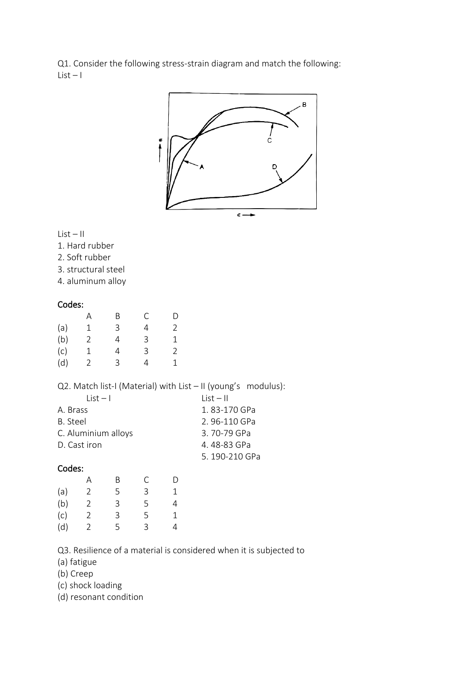Q1. Consider the following stress-strain diagram and match the following:  $List - 1$ 



#### List – II

- 1. Hard rubber
- 2. Soft rubber
- 3. structural steel
- 4. aluminum alloy

### Codes:

|     | А | Β | С | D |
|-----|---|---|---|---|
| (a) | 1 | 3 | 4 | 2 |
| (b) | 2 | 4 | 3 | 1 |
| (c) | 1 | 4 | 3 | 2 |
| (d) | 2 | 3 | 4 | 1 |

Q2. Match list-I (Material) with List - II (young's modulus):

| $list - 1$          | $List - II$   |
|---------------------|---------------|
| A. Brass            | 1.83-170 GPa  |
| B. Steel            | 2.96-110 GPa  |
| C. Aluminium alloys | 3.70-79 GPa   |
| D. Cast iron        | 4.48-83 GPa   |
|                     | 5.190-210 GPa |

# Codes:

|     | А | B | C | D |
|-----|---|---|---|---|
| (a) | 2 | 5 | 3 | 1 |
| (b) | 2 | 3 | 5 | 4 |
| (c) | 2 | 3 | 5 | 1 |
| (d) | 2 | 5 | 3 | 4 |

Q3. Resilience of a material is considered when it is subjected to

(a) fatigue

(b) Creep

- (c) shock loading
- (d) resonant condition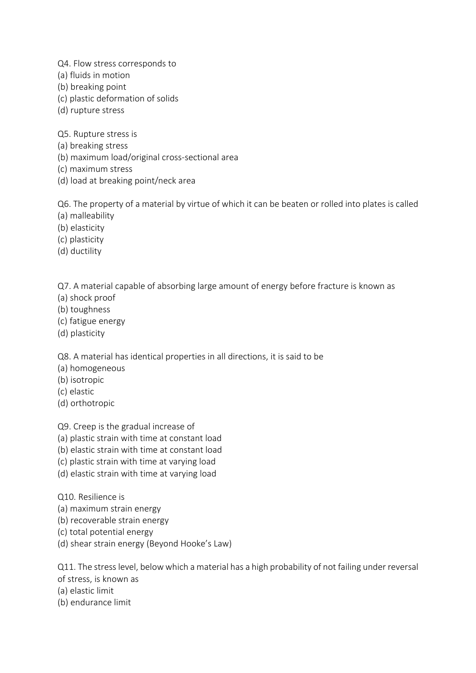Q4. Flow stress corresponds to

- (a) fluids in motion
- (b) breaking point
- (c) plastic deformation of solids
- (d) rupture stress

Q5. Rupture stress is

- (a) breaking stress
- (b) maximum load/original cross-sectional area
- (c) maximum stress
- (d) load at breaking point/neck area

Q6. The property of a material by virtue of which it can be beaten or rolled into plates is called (a) malleability

- (b) elasticity
- (c) plasticity
- (d) ductility

Q7. A material capable of absorbing large amount of energy before fracture is known as

- (a) shock proof
- (b) toughness
- (c) fatigue energy
- (d) plasticity

Q8. A material has identical properties in all directions, it is said to be

- (a) homogeneous
- (b) isotropic
- (c) elastic
- (d) orthotropic

Q9. Creep is the gradual increase of

- (a) plastic strain with time at constant load
- (b) elastic strain with time at constant load
- (c) plastic strain with time at varying load
- (d) elastic strain with time at varying load

Q10. Resilience is

- (a) maximum strain energy
- (b) recoverable strain energy
- (c) total potential energy
- (d) shear strain energy (Beyond Hooke's Law)

Q11. The stress level, below which a material has a high probability of not failing under reversal of stress, is known as

- (a) elastic limit
- (b) endurance limit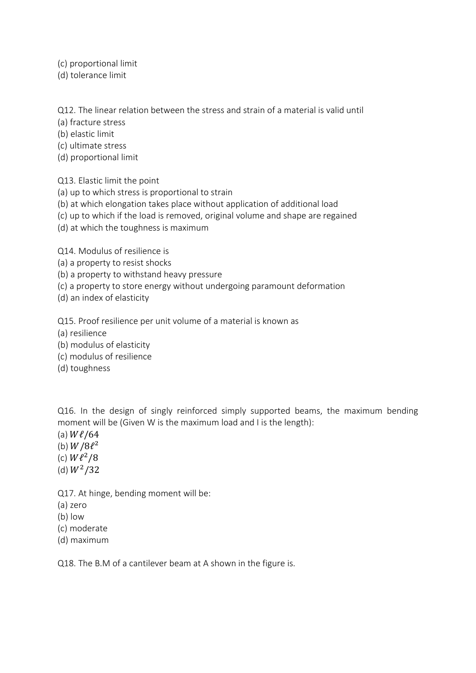- (c) proportional limit
- (d) tolerance limit

Q12. The linear relation between the stress and strain of a material is valid until

- (a) fracture stress
- (b) elastic limit
- (c) ultimate stress
- (d) proportional limit

Q13. Elastic limit the point

- (a) up to which stress is proportional to strain
- (b) at which elongation takes place without application of additional load
- (c) up to which if the load is removed, original volume and shape are regained
- (d) at which the toughness is maximum

Q14. Modulus of resilience is

- (a) a property to resist shocks
- (b) a property to withstand heavy pressure
- (c) a property to store energy without undergoing paramount deformation
- (d) an index of elasticity

Q15. Proof resilience per unit volume of a material is known as

- (a) resilience
- (b) modulus of elasticity
- (c) modulus of resilience
- (d) toughness

Q16. In the design of singly reinforced simply supported beams, the maximum bending moment will be (Given W is the maximum load and I is the length):

- (a)  $W\ell/64$
- (b)  $W/8\ell^2$
- (c)  $W\ell^2/8$
- (d)  $W^2/32$

Q17. At hinge, bending moment will be:

- (a) zero
- (b) low
- (c) moderate
- (d) maximum

Q18. The B.M of a cantilever beam at A shown in the figure is.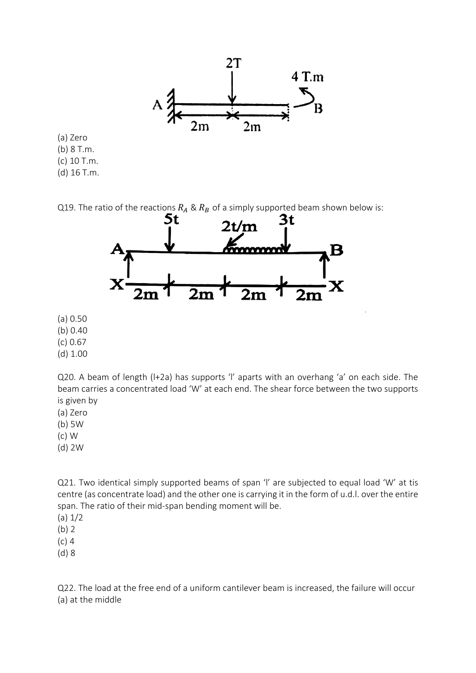

(a) Zero (b) 8 T.m. (c) 10 T.m. (d) 16 T.m.

Q19. The ratio of the reactions  $R_A \& R_B$  of a simply supported beam shown below is:<br>
5t a contract 3t



(a) 0.50

(b) 0.40

(c) 0.67

(d) 1.00

Q20. A beam of length (l+2a) has supports 'l' aparts with an overhang 'a' on each side. The beam carries a concentrated load 'W' at each end. The shear force between the two supports is given by

(a) Zero

(b) 5W

- (c) W
- (d) 2W

Q21. Two identical simply supported beams of span 'l' are subjected to equal load 'W' at tis centre (as concentrate load) and the other one is carrying it in the form of u.d.l. over the entire span. The ratio of their mid-span bending moment will be.

 $(a) 1/2$ 

(b) 2

(c) 4

(d) 8

Q22. The load at the free end of a uniform cantilever beam is increased, the failure will occur (a) at the middle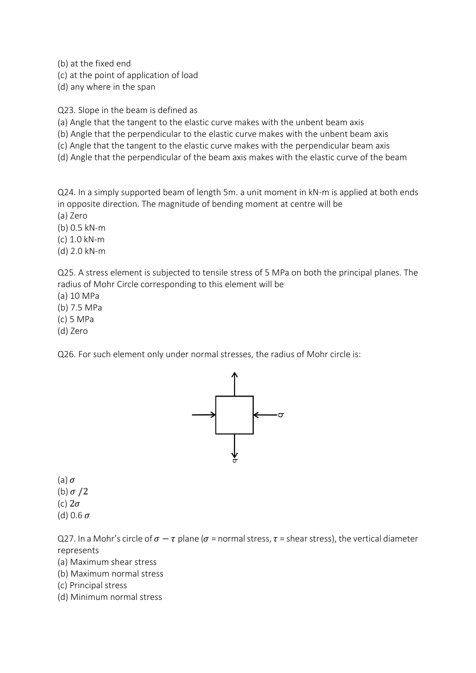(b) at the fixed end

(c) at the point of application of load

(d) any where in the span

Q23. Slope in the beam is defined as

(a) Angle that the tangent to the elastic curve makes with the unbent beam axis

(b) Angle that the perpendicular to the elastic curve makes with the unbent beam axis

(c) Angle that the tangent to the elastic curve makes with the perpendicular beam axis

(d) Angle that the perpendicular of the beam axis makes with the elastic curve of the beam

Q24. In a simply supported beam of length 5m. a unit moment in kN-m is applied at both ends in opposite direction. The magnitude of bending moment at centre will be

(a) Zero

(b) 0.5 kN-m

(c) 1.0 kN-m

(d) 2.0 kN-m

Q25. A stress element is subjected to tensile stress of 5 MPa on both the principal planes. The radius of Mohr Circle corresponding to this element will be

(a) 10 MPa

(b) 7.5 MPa

(c) 5 MPa

(d) Zero

Q26. For such element only under normal stresses, the radius of Mohr circle is:



(a)  $\sigma$ 

(b)  $\sigma/2$ 

(c)  $2\sigma$ 

(d) 0.6  $\sigma$ 

Q27. In a Mohr's circle of  $\sigma - \tau$  plane ( $\sigma$  = normal stress,  $\tau$  = shear stress), the vertical diameter represents

(a) Maximum shear stress

(b) Maximum normal stress

(c) Principal stress

(d) Minimum normal stress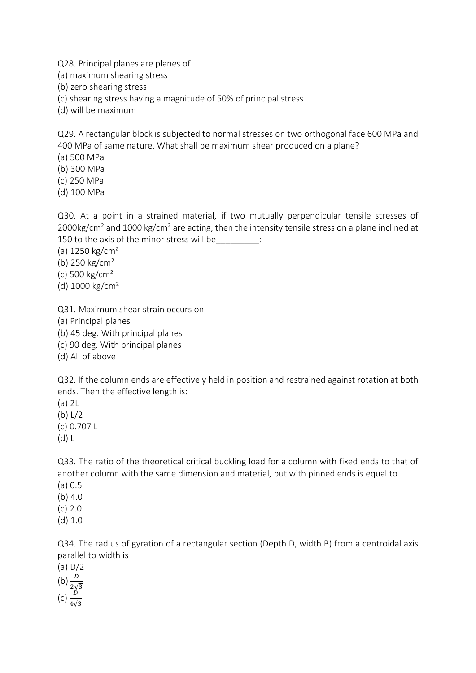Q28. Principal planes are planes of

(a) maximum shearing stress

(b) zero shearing stress

(c) shearing stress having a magnitude of 50% of principal stress

(d) will be maximum

Q29. A rectangular block is subjected to normal stresses on two orthogonal face 600 MPa and 400 MPa of same nature. What shall be maximum shear produced on a plane?

(a) 500 MPa

(b) 300 MPa

(c) 250 MPa

(d) 100 MPa

Q30. At a point in a strained material, if two mutually perpendicular tensile stresses of 2000kg/cm<sup>2</sup> and 1000 kg/cm<sup>2</sup> are acting, then the intensity tensile stress on a plane inclined at 150 to the axis of the minor stress will be\_\_\_\_\_\_\_\_\_:

(a) 1250 kg/cm²

(b) 250 kg/cm²

(c) 500 kg/cm²

(d) 1000 kg/cm²

Q31. Maximum shear strain occurs on

(a) Principal planes

(b) 45 deg. With principal planes

(c) 90 deg. With principal planes

(d) All of above

Q32. If the column ends are effectively held in position and restrained against rotation at both ends. Then the effective length is:

(a) 2L

(b) L/2

(c) 0.707 L

(d) L

Q33. The ratio of the theoretical critical buckling load for a column with fixed ends to that of another column with the same dimension and material, but with pinned ends is equal to

(a) 0.5

(b) 4.0

(c) 2.0

(d) 1.0

Q34. The radius of gyration of a rectangular section (Depth D, width B) from a centroidal axis parallel to width is

(a) D/2 (b)  $\frac{D}{2\sqrt{3}}$ (c)  $\frac{D}{4\sqrt{3}}$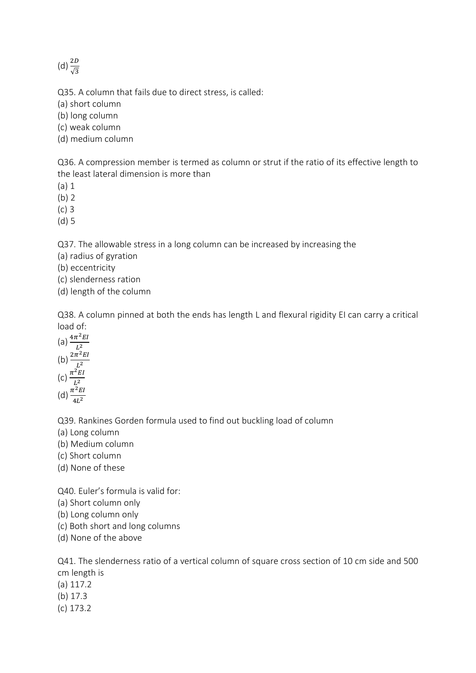(d)  $\frac{2D}{\sqrt{3}}$ 

Q35. A column that fails due to direct stress, is called:

(a) short column

(b) long column

(c) weak column

(d) medium column

Q36. A compression member is termed as column or strut if the ratio of its effective length to the least lateral dimension is more than

(a) 1

(b) 2

(c) 3

(d) 5

Q37. The allowable stress in a long column can be increased by increasing the

(a) radius of gyration

(b) eccentricity

(c) slenderness ration

(d) length of the column

Q38. A column pinned at both the ends has length L and flexural rigidity EI can carry a critical load of:

(a)  $\frac{4\pi^2 EI}{l^2}$  $L^2$ (b)  $\frac{2\pi^2 EI}{l^2}$  $L^2$ (c)  $\frac{\pi^2 EI}{l^2}$  $L^2$ (d)  $\frac{\pi^2 EI}{4L^2}$  $4L<sup>2</sup>$ 

Q39. Rankines Gorden formula used to find out buckling load of column

(a) Long column

(b) Medium column

(c) Short column

(d) None of these

Q40. Euler's formula is valid for:

(a) Short column only

(b) Long column only

(c) Both short and long columns

(d) None of the above

Q41. The slenderness ratio of a vertical column of square cross section of 10 cm side and 500 cm length is (a) 117.2

(b) 17.3

(c) 173.2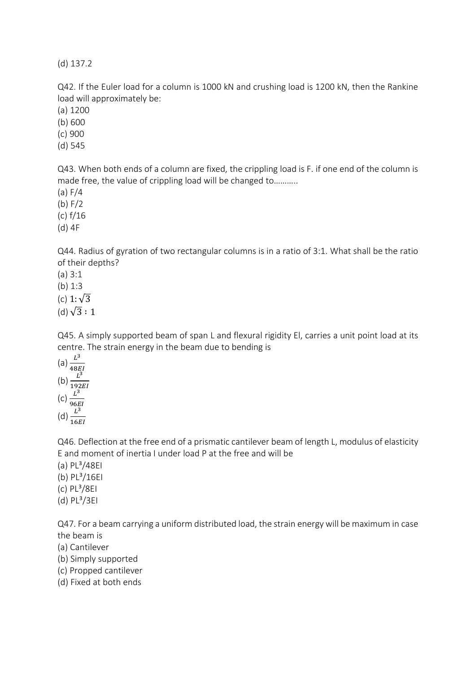(d) 137.2

Q42. If the Euler load for a column is 1000 kN and crushing load is 1200 kN, then the Rankine load will approximately be:

(a) 1200

(b) 600

(c) 900

(d) 545

Q43. When both ends of a column are fixed, the crippling load is F. if one end of the column is made free, the value of crippling load will be changed to………..

(a) F/4

(b) F/2

(c) f/16

(d) 4F

Q44. Radius of gyration of two rectangular columns is in a ratio of 3:1. What shall be the ratio of their depths?

(a) 3:1

(b) 1:3

(c)  $1:\sqrt{3}$ 

(d)  $\sqrt{3} : 1$ 

Q45. A simply supported beam of span L and flexural rigidity El, carries a unit point load at its centre. The strain energy in the beam due to bending is

(a)  $\frac{L^3}{485}$ 48 (b)  $\frac{L^3}{102}$ 192  $(c) \frac{L^3}{2C}$ 96EI (d)  $\frac{L^3}{16}$ 16

Q46. Deflection at the free end of a prismatic cantilever beam of length L, modulus of elasticity E and moment of inertia I under load P at the free and will be

- $(a)$  PL $^{3}/48E1$ (b) PL<sup>3</sup>/16EI
- $(c)$  PL $^{3}/8E1$
- $(d)$  PL $^{3}/3E1$

Q47. For a beam carrying a uniform distributed load, the strain energy will be maximum in case the beam is

(a) Cantilever

(b) Simply supported

(c) Propped cantilever

(d) Fixed at both ends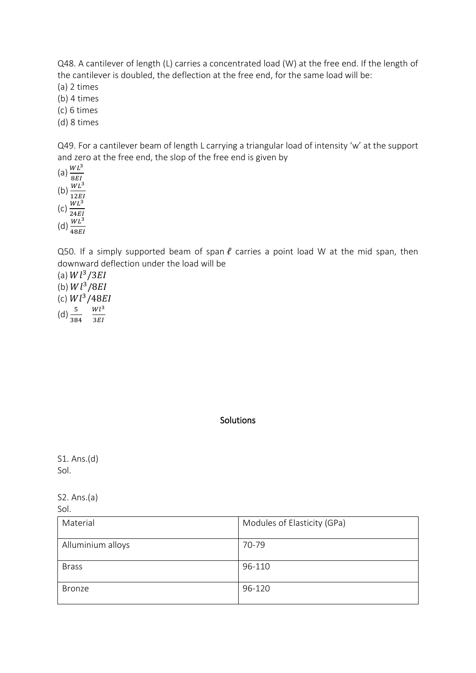Q48. A cantilever of length (L) carries a concentrated load (W) at the free end. If the length of the cantilever is doubled, the deflection at the free end, for the same load will be:

(a) 2 times

- (b) 4 times
- (c) 6 times
- (d) 8 times

Q49. For a cantilever beam of length L carrying a triangular load of intensity 'w' at the support and zero at the free end, the slop of the free end is given by

(a)  $\frac{WL^3}{2E}$ 8EI (b)  $\frac{WL^3}{12E}$ 12  $(c)$   $\frac{WL^3}{24E}$ 24EI (d)  $\frac{WL^3}{42E}$ 48

Q50. If a simply supported beam of span  $\ell$  carries a point load W at the mid span, then downward deflection under the load will be

(a)  $Wl^3/3EI$ 

(b)  $Wl^3/8EI$ 

(c)  $Wl^3/48EI$ 

 $(d) \frac{5}{384}$  $Wl^3$ 3*EI* 

### **Solutions**

S1. Ans.(d) Sol.

S2. Ans.(a)

| Material          | Modules of Elasticity (GPa) |
|-------------------|-----------------------------|
| Alluminium alloys | 70-79                       |
| <b>Brass</b>      | 96-110                      |
| <b>Bronze</b>     | 96-120                      |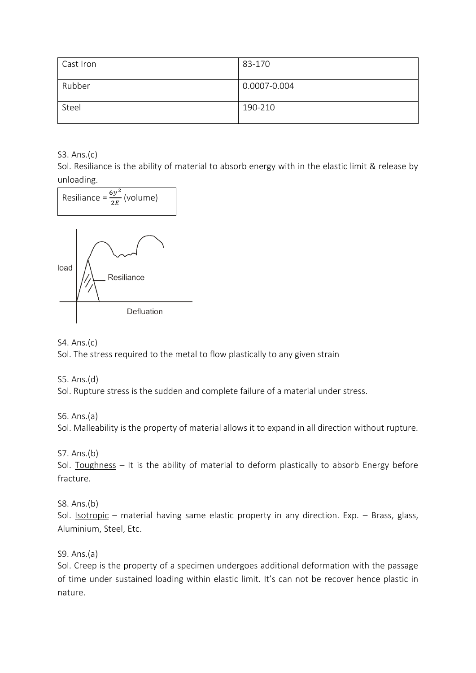| Cast Iron | 83-170       |
|-----------|--------------|
| Rubber    | 0.0007-0.004 |
| Steel     | 190-210      |

S3. Ans.(c)

Sol. Resiliance is the ability of material to absorb energy with in the elastic limit & release by unloading.



S4. Ans.(c)

Sol. The stress required to the metal to flow plastically to any given strain

S5. Ans.(d) Sol. Rupture stress is the sudden and complete failure of a material under stress.

S6. Ans.(a) Sol. Malleability is the property of material allows it to expand in all direction without rupture.

S7. Ans.(b)

Sol. Toughness - It is the ability of material to deform plastically to absorb Energy before fracture.

S8. Ans.(b) Sol. Isotropic – material having same elastic property in any direction. Exp. – Brass, glass, Aluminium, Steel, Etc.

S9. Ans.(a)

Sol. Creep is the property of a specimen undergoes additional deformation with the passage of time under sustained loading within elastic limit. It's can not be recover hence plastic in nature.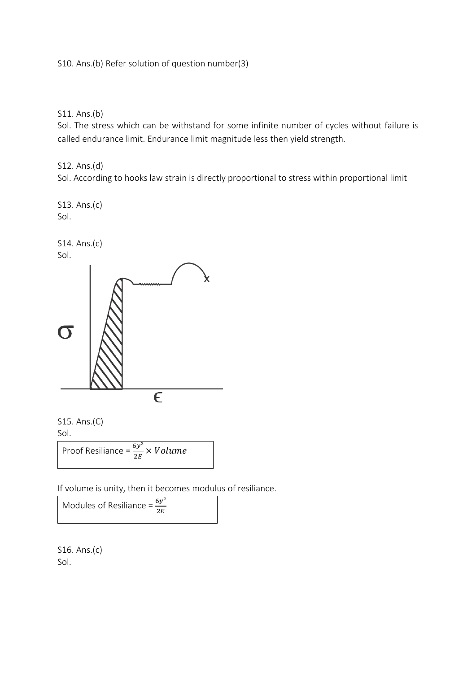S10. Ans.(b) Refer solution of question number(3)

S11. Ans.(b)

Sol. The stress which can be withstand for some infinite number of cycles without failure is called endurance limit. Endurance limit magnitude less then yield strength.

S12. Ans.(d)

Sol. According to hooks law strain is directly proportional to stress within proportional limit

S13. Ans.(c) Sol.







Proof Resiliance =  $\frac{6y^2}{2E} \times Volume$ 

If volume is unity, then it becomes modulus of resiliance.

Modules of Resiliance =  $\frac{6y^2}{2E}$ 

S16. Ans.(c) Sol.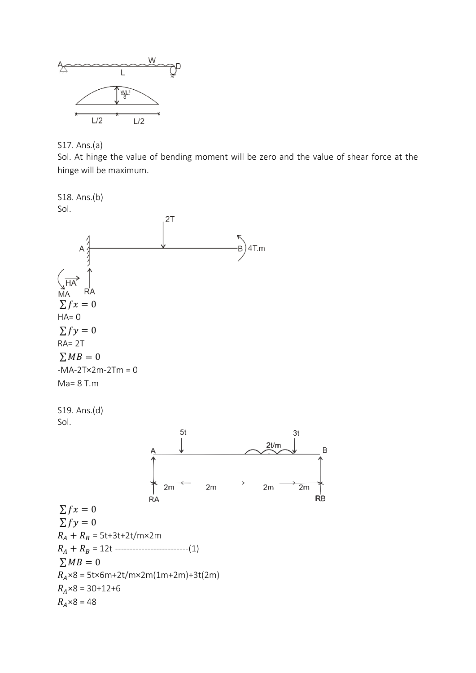

S17. Ans.(a)

Sol. At hinge the value of bending moment will be zero and the value of shear force at the hinge will be maximum.

S18. Ans.(b) Sol.  $2T$ 4T.m  $\overrightarrow{HA}$ **RA MA**  $\sum fx = 0$  $HA=0$  $\sum f y = 0$ RA= 2T  $\sum MB = 0$  $-MA-2Tx2m-2Tm = 0$ Ma= 8 T.m S19. Ans.(d) Sol.  $5<sub>t</sub>$ 3t  $2t/m$  $\sf B$  $2m$  $2m$  $2m$  $2m$ **RB RA**  $\sum fx = 0$  $\sum f y = 0$  $R_A + R_B = 5t + 3t + 2t/m \times 2m$  $R_A + R_B = 12t$  ---------------------------(1)  $\sum MB = 0$  $R_A \times 8 = 5$ t $\times$ 6m+2t/m $\times$ 2m(1m+2m)+3t(2m)  $R_A \times 8 = 30 + 12 + 6$  $R_A \times 8 = 48$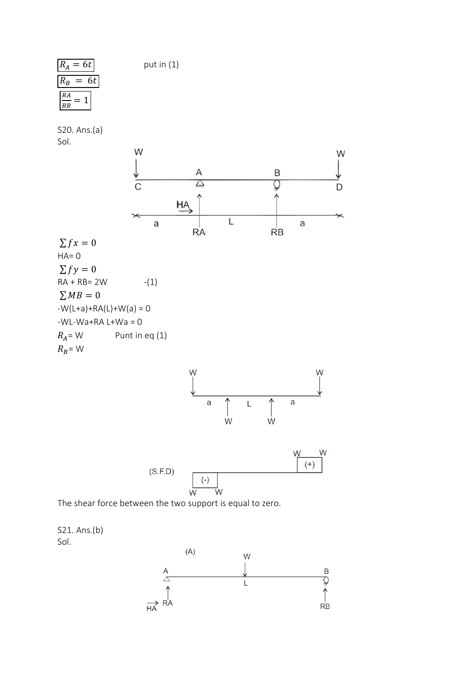$R_A = 6t$  put in (1)

| ίA             | ht |    |
|----------------|----|----|
| ${}^{\prime}B$ |    | 6t |
| RA             |    |    |
| RB             |    |    |

S20. Ans.(a) Sol.

 $HA= 0$ 

 $R_B$ = W





The shear force between the two support is equal to zero.



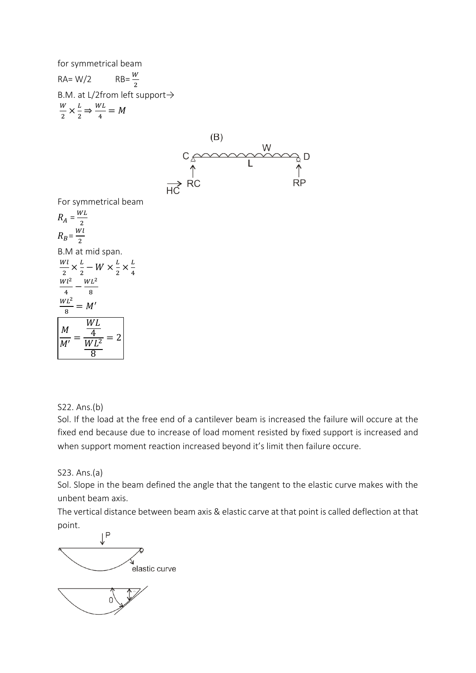for symmetrical beam

 $RA= W/2$  $RB = \frac{W}{2}$ B.M. at L/2from left support→ W  $\frac{W}{2} \times \frac{L}{2}$  $rac{L}{2} \Rightarrow \frac{WL}{4}$  $\frac{V}{4} = M$ 



For symmetrical beam

$$
R_A = \frac{WL}{2}
$$
  
\n
$$
R_B = \frac{WL}{2}
$$
  
\nB.M at mid span.  
\n
$$
\frac{WL}{2} \times \frac{L}{2} - W \times \frac{L}{2} \times \frac{WL^2}{4} - \frac{WL^2}{8}
$$
  
\n
$$
\frac{WL^2}{8} = M'
$$
  
\n
$$
\frac{ML}{M'} = \frac{WL}{\frac{WL}{2}} = 2
$$

L 4

S22. Ans.(b)

Sol. If the load at the free end of a cantilever beam is increased the failure will occure at the fixed end because due to increase of load moment resisted by fixed support is increased and when support moment reaction increased beyond it's limit then failure occure.

S23. Ans.(a)

Sol. Slope in the beam defined the angle that the tangent to the elastic curve makes with the unbent beam axis.

The vertical distance between beam axis & elastic carve at that point is called deflection at that point.

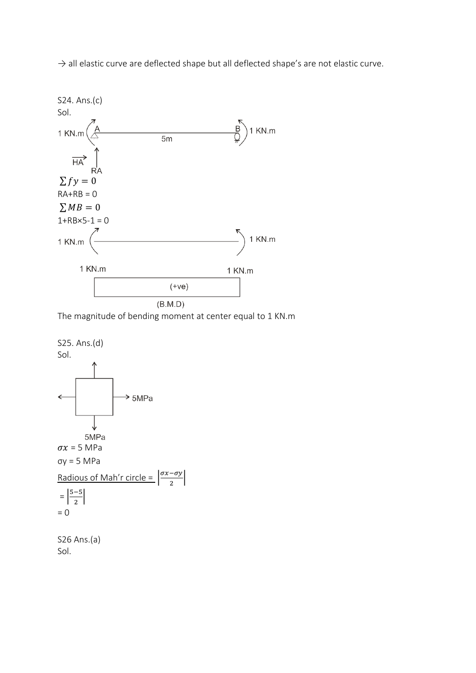

 $\rightarrow$  all elastic curve are deflected shape but all deflected shape's are not elastic curve.

The magnitude of bending moment at center equal to 1 KN.m

|

S25. Ans.(d) Sol.



S26 Ans.(a) Sol.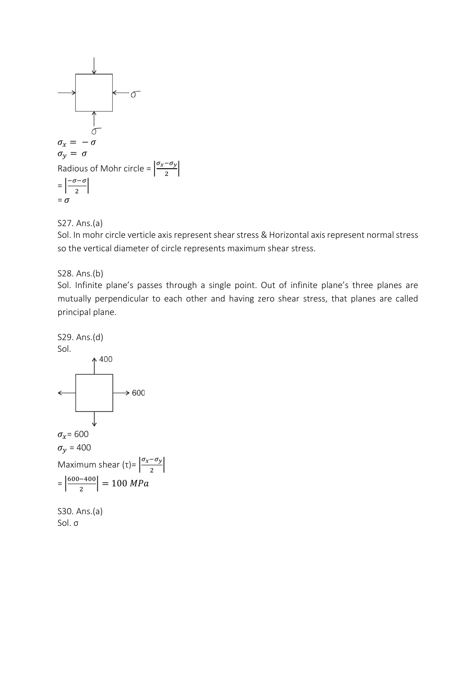

### S27. Ans.(a)

Sol. In mohr circle verticle axis represent shear stress & Horizontal axis represent normal stress so the vertical diameter of circle represents maximum shear stress.

### S28. Ans.(b)

Sol. Infinite plane's passes through a single point. Out of infinite plane's three planes are mutually perpendicular to each other and having zero shear stress, that planes are called principal plane.



Sol. σ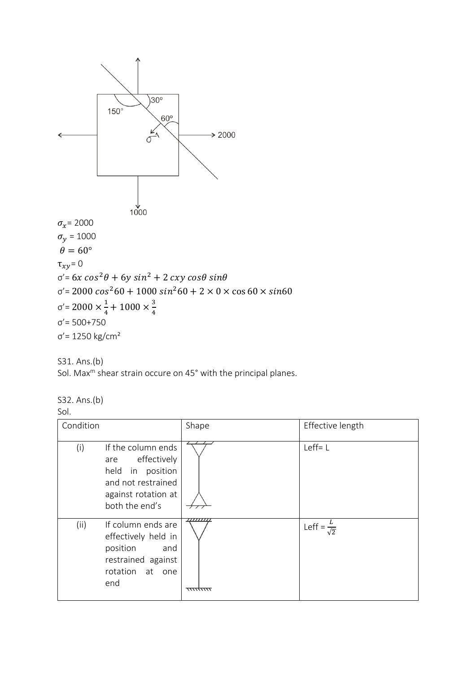



Sol. Max<sup>m</sup> shear strain occure on 45° with the principal planes.

S32. Ans.(b)

Sol.

| Condition |                                                                                                                          | Shape                                | Effective length            |
|-----------|--------------------------------------------------------------------------------------------------------------------------|--------------------------------------|-----------------------------|
| (i)       | If the column ends<br>are effectively<br>held in position<br>and not restrained<br>against rotation at<br>both the end's |                                      | $Left = L$                  |
| (ii)      | If column ends are<br>effectively held in<br>position<br>and<br>restrained against<br>rotation at one<br>end             | ,,,,,,,,,,<br><del>,,,,,,,,,,,</del> | Leff = $\frac{L}{\sqrt{2}}$ |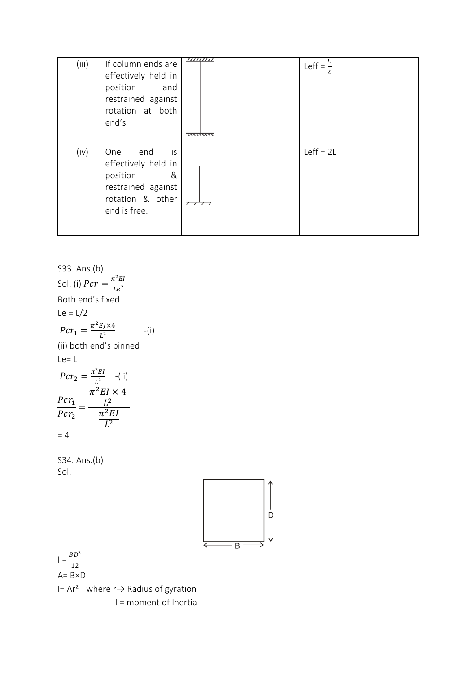| (iii) | If column ends are<br>effectively held in<br>position<br>and<br>restrained against<br>rotation at both<br>end's    | ,,,,,,,,,,<br><del>,,,,,,,,,,</del> | Leff = $\frac{L}{2}$ |
|-------|--------------------------------------------------------------------------------------------------------------------|-------------------------------------|----------------------|
| (iv)  | One<br>end<br>is<br>effectively held in<br>position<br>&<br>restrained against<br>rotation & other<br>end is free. | 7777                                | $Left = 2L$          |

S33. Ans.(b)  
\nSol. (i) 
$$
Per = \frac{\pi^2 EI}{Le^2}
$$
  
\nBoth end's fixed  
\nLe = L/2  
\n $Per_1 = \frac{\pi^2 E J \times 4}{L^2}$  -(i)  
\n(ii) both end's pinned  
\nLe = L  
\n $Per_2 = \frac{\pi^2 EI}{L^2}$  -(ii)  
\n $\frac{Per_1}{Per_2} = \frac{\frac{\pi^2 EI \times 4}{L^2}}{\frac{\pi^2 EI}{L^2}}$   
\n= 4  
\nS34. Ans.(b)  
\nSol.  
\nI =  $\frac{BD^3}{12}$   
\nA = BxD  
\nI = Ar<sup>2</sup> where r→ Radius of gyration  
\nI = moment of Inertia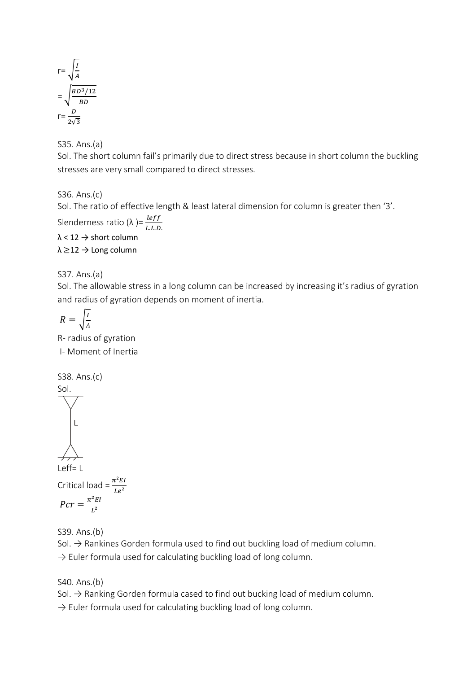$$
r = \sqrt{\frac{I}{A}}
$$

$$
= \sqrt{\frac{BD^3/12}{BD}}
$$

$$
r = \frac{D}{2\sqrt{3}}
$$

S35. Ans.(a)

Sol. The short column fail's primarily due to direct stress because in short column the buckling stresses are very small compared to direct stresses.

S36. Ans.(c)

Sol. The ratio of effective length & least lateral dimension for column is greater then '3'.

Slenderness ratio ( $\lambda$  )=  $\frac{left}{L.L.D.}$  $\lambda$  < 12  $\rightarrow$  short column

 $\lambda \geq 12$   $\rightarrow$  Long column

## S37. Ans.(a)

Sol. The allowable stress in a long column can be increased by increasing it's radius of gyration and radius of gyration depends on moment of inertia.

$$
R = \sqrt{\frac{I}{A}}
$$

R- radius of gyration I- Moment of Inertia

S38. Ans.(c)

$$
\begin{matrix}\n\text{Sol.} \\
\downarrow \\
\downarrow\n\end{matrix}
$$

 $\leftrightarrow$ Leff= L Critical load =  $\frac{\pi^2 EI}{Le^2}$ 

$$
Pcr = \frac{\pi^2 EI}{L^2}
$$

S39. Ans.(b)

Sol.  $\rightarrow$  Rankines Gorden formula used to find out buckling load of medium column.  $\rightarrow$  Euler formula used for calculating buckling load of long column.

S40. Ans.(b)

Sol.  $\rightarrow$  Ranking Gorden formula cased to find out bucking load of medium column.

 $\rightarrow$  Euler formula used for calculating buckling load of long column.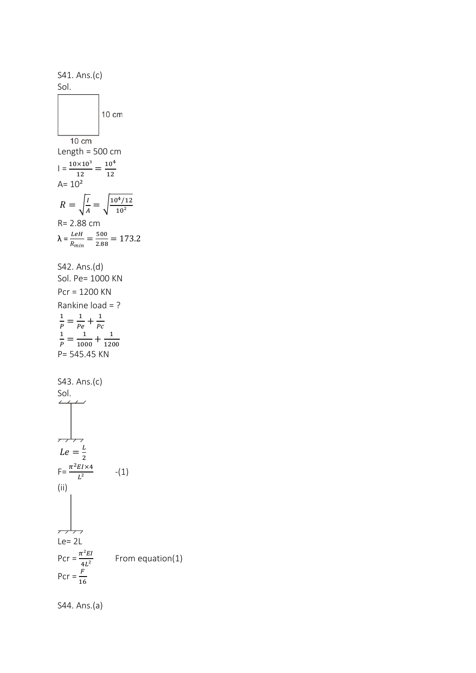S41. Ans.(c) Sol. 10 cm  $10 \text{ cm}$ Length = 500 cm  $\vert = \frac{10 \times 10^3}{12} = \frac{10^4}{12}$ 12  $A = 10<sup>2</sup>$  $\frac{I}{A} = \sqrt{\frac{10^4/12}{10^2}}$  $R = \frac{I}{I}$  $10^{2}$ R= 2.88 cm  $\lambda = \frac{LeH}{R_{min}} = \frac{500}{2.88}$  $\frac{300}{2.88}$  = 173.2 S42. Ans.(d) Sol. Pe= 1000 KN Pcr = 1200 KN Rankine load = ?  $\frac{1}{P} = \frac{1}{P\epsilon}$ 1  $\frac{1}{Pe} + \frac{1}{Pe}$  $P_{\mathcal{C}}$  $\frac{1}{P} = \frac{1}{100}$ 1  $\frac{1}{1000} + \frac{1}{120}$ 1200 P= 545.45 KN S43. Ans.(c)  $\frac{\mathsf{Sol}}{\mathsf{CS}}$  $Le = \frac{L}{a}$ 2  $F = \frac{\pi^2 E I \times 4}{I^2}$ -(1)  $L^2$ (ii) <del>, , , ,</del>  $Le= 2L$ Pcr =  $\frac{\pi^2 EI}{4L^2}$ From equation(1) Pcr =  $\frac{F}{16}$ 

S44. Ans.(a)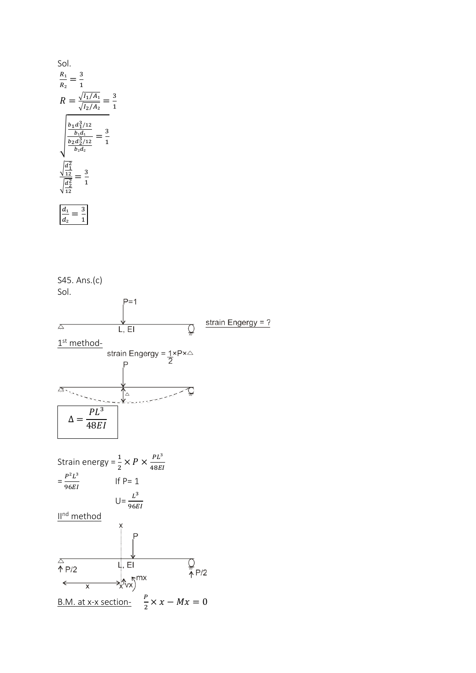Sol.  
\n
$$
\frac{R_1}{R_2} = \frac{3}{1}
$$
\n
$$
R = \frac{\sqrt{I_1/A_1}}{\sqrt{I_2/A_2}} = \frac{1}{\sqrt{I_2/A_2}}
$$
\n
$$
\frac{b_1 a_1^3/12}{b_1 a_1} = \frac{3}{1}
$$
\n
$$
\frac{\sqrt{a_1^2}}{b_2 a_2^3/12} = \frac{3}{1}
$$
\n
$$
\frac{\sqrt{a_1^2}}{a_2^2} = \frac{3}{1}
$$
\n
$$
\frac{a_1}{a_2} = \frac{3}{1}
$$

3 1

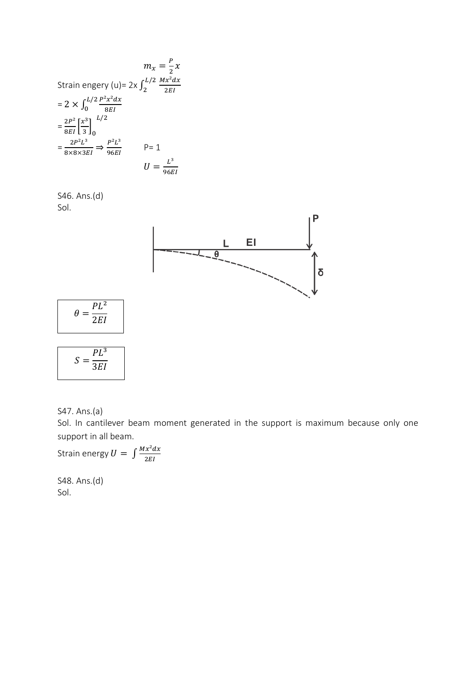$$
m_x = \frac{P}{2}x
$$
  
\nStrain energy (u)= 2x  $\int_2^{L/2} \frac{Mx^2 dx}{2EI}$   
\n= 2 ×  $\int_0^{L/2} \frac{P^2 x^2 dx}{8EI}$   
\n=  $\frac{2P^2}{8EI} \left[ \frac{x^3}{3} \right]_0^{L/2}$   
\n=  $\frac{2P^2 L^3}{8 \times 8 \times 3EI}$   $\Rightarrow \frac{P^2 L^3}{96EI}$   $P = 1$   
\n $U = \frac{L^3}{96EI}$ 

S46. Ans.(d) Sol.



$$
S = \frac{PL^3}{3EI}
$$

 $PL^2$ 

 $\theta=$ 

S47. Ans.(a)

Sol. In cantilever beam moment generated in the support is maximum because only one support in all beam.

Strain energy  $U = \int \frac{Mx^2 dx}{2E}$  $2EI$ 

S48. Ans.(d) Sol.